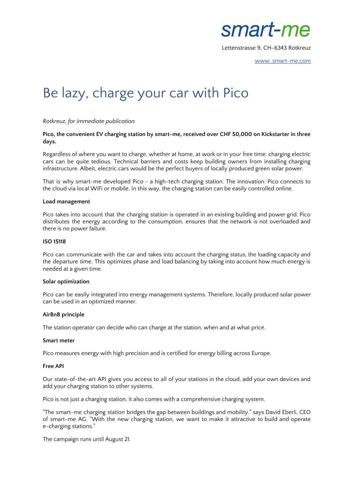

Lettenstrasse 9, CH-6343 Rotkreuz

[www..smart-me.com](https://web.smart-me.com/)

# Be lazy, charge your car with Pico

## *Rotkreuz, for immediate publication*

### **Pico, the convenient EV charging station by smart-me, received over CHF 50,000 on Kickstarter in three days.**

Regardless of where you want to charge, whether at home, at work or in your free time: charging electric cars can be quite tedious. Technical barriers and costs keep building owners from installing charging infrastructure. Albeit, electric cars would be the perfect buyers of locally produced green solar power.

That is why smart-me developed Pico - a high-tech charging station. The innovation: Pico connects to the cloud via local WiFi or mobile. In this way, the charging station can be easily controlled online.

### **Load management**

Pico takes into account that the charging station is operated in an existing building and power grid. Pico distributes the energy according to the consumption, ensures that the network is not overloaded and there is no power failure.

#### **ISO 15118**

Pico can communicate with the car and takes into account the charging status, the loading capacity and the departure time. This optimizes phase and load balancing by taking into account how much energy is needed at a given time.

### **Solar optimization**

Pico can be easily integrated into energy management systems. Therefore, locally produced solar power can be used in an optimized manner.

### **AirBnB principle**

The station operator can decide who can charge at the station, when and at what price.

#### **Smart meter**

Pico measures energy with high precision and is certified for energy billing across Europe.

### **Free API**

Our state-of-the-art API gives you access to all of your stations in the cloud, add your own devices and add your charging station to other systems.

Pico is not just a charging station, it also comes with a comprehensive charging system.

"The smart-me charging station bridges the gap between buildings and mobility." says David Eberli, CEO of smart-me AG. "With the new charging station, we want to make it attractive to build and operate e-charging stations."

The campaign runs until August 21.